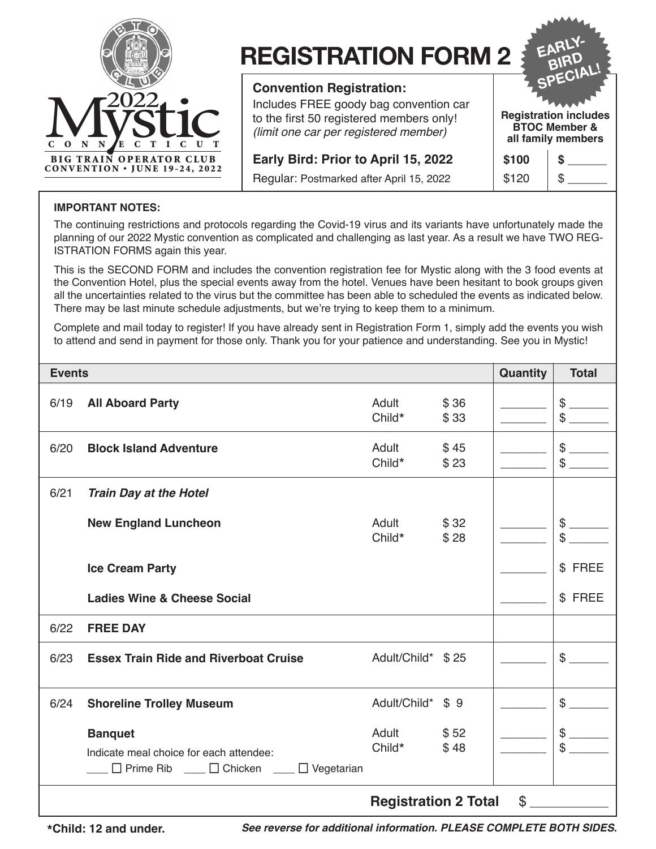

# **REGISTRATION FORM 2**

### **Convention Registration:**

Includes FREE goody bag convention car to the first 50 registered members only! *(limit one car per registered member)*

**Early Bird: Prior to April 15, 2022** 

Regular: Postmarked after April 15, 2022

SPECIAL! **Registration includes BTOC Member & all family members**

**EARLY-BIRD** 

| \$100 | ä |
|-------|---|
| \$120 |   |

#### **IMPORTANT NOTES:**

The continuing restrictions and protocols regarding the Covid-19 virus and its variants have unfortunately made the planning of our 2022 Mystic convention as complicated and challenging as last year. As a result we have TWO REG-ISTRATION FORMS again this year.

This is the SECOND FORM and includes the convention registration fee for Mystic along with the 3 food events at the Convention Hotel, plus the special events away from the hotel. Venues have been hesitant to book groups given all the uncertainties related to the virus but the committee has been able to scheduled the events as indicated below. There may be last minute schedule adjustments, but we're trying to keep them to a minimum.

Complete and mail today to register! If you have already sent in Registration Form 1, simply add the events you wish to attend and send in payment for those only. Thank you for your patience and understanding. See you in Mystic!

| <b>Events</b> |                                                                                                                 |                   |              |  | <b>Total</b>          |
|---------------|-----------------------------------------------------------------------------------------------------------------|-------------------|--------------|--|-----------------------|
| 6/19          | <b>All Aboard Party</b>                                                                                         | Adult<br>Child*   | \$36<br>\$33 |  | $\$\$<br>$\mathbb{S}$ |
| 6/20          | <b>Block Island Adventure</b>                                                                                   | Adult<br>Child*   | \$45<br>\$23 |  | $\mathbb{S}$<br>\$    |
| 6/21          | <b>Train Day at the Hotel</b>                                                                                   |                   |              |  |                       |
|               | <b>New England Luncheon</b>                                                                                     | Adult<br>Child*   | \$32<br>\$28 |  | \$<br>\$              |
|               | <b>Ice Cream Party</b>                                                                                          |                   |              |  | \$ FREE               |
|               | <b>Ladies Wine &amp; Cheese Social</b>                                                                          |                   |              |  | \$ FREE               |
| 6/22          | <b>FREE DAY</b>                                                                                                 |                   |              |  |                       |
| 6/23          | <b>Essex Train Ride and Riverboat Cruise</b>                                                                    | Adult/Child* \$25 |              |  | $\mathfrak{S}$        |
| 6/24          | <b>Shoreline Trolley Museum</b>                                                                                 | Adult/Child*      | \$9          |  | $\$\$                 |
|               | <b>Banquet</b><br>Indicate meal choice for each attendee:<br><u>Derime Ribert Dericken</u><br>$\Box$ Vegetarian | Adult<br>Child*   | \$52<br>\$48 |  | $\$\$<br>\$           |
|               | \$<br><b>Registration 2 Total</b>                                                                               |                   |              |  |                       |

*See reverse for additional information. PLEASE COMPLETE BOTH SIDES.* **\*Child: 12 and under.**